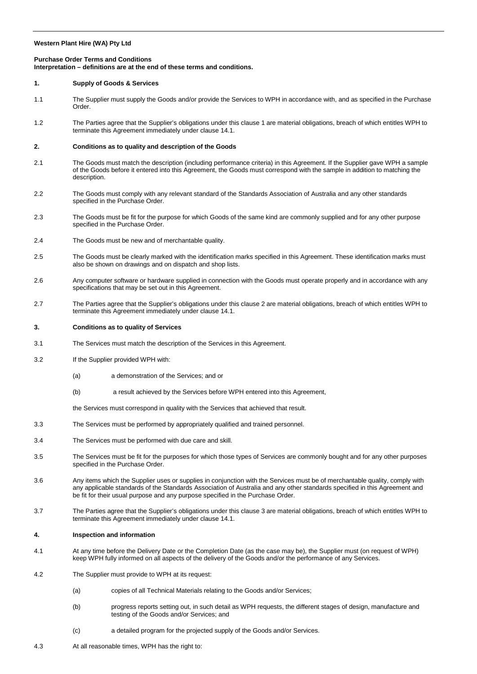### **Western Plant Hire (WA) Pty Ltd**

# **Purchase Order Terms and Conditions Interpretation – definitions are at the end of these terms and conditions.**

#### <span id="page-0-0"></span>**1. Supply of Goods & Services**

- 1.1 The Supplier must supply the Goods and/or provide the Services to WPH in accordance with, and as specified in the Purchase Order.
- 1.2 The Parties agree that the Supplier's obligations under this claus[e 1](#page-0-0) are material obligations, breach of which entitles WPH to terminate this Agreement immediately under claus[e 14.1.](#page-3-0)

# <span id="page-0-1"></span>**2. Conditions as to quality and description of the Goods**

- 2.1 The Goods must match the description (including performance criteria) in this Agreement. If the Supplier gave WPH a sample of the Goods before it entered into this Agreement, the Goods must correspond with the sample in addition to matching the description.
- 2.2 The Goods must comply with any relevant standard of the Standards Association of Australia and any other standards specified in the Purchase Order.
- 2.3 The Goods must be fit for the purpose for which Goods of the same kind are commonly supplied and for any other purpose specified in the Purchase Order.
- 2.4 The Goods must be new and of merchantable quality.
- 2.5 The Goods must be clearly marked with the identification marks specified in this Agreement. These identification marks must also be shown on drawings and on dispatch and shop lists.
- 2.6 Any computer software or hardware supplied in connection with the Goods must operate properly and in accordance with any specifications that may be set out in this Agreement.
- 2.7 The Parties agree that the Supplier's obligations under this claus[e 2](#page-0-1) are material obligations, breach of which entitles WPH to terminate this Agreement immediately under claus[e 14.1.](#page-3-0)

#### <span id="page-0-2"></span>**3. Conditions as to quality of Services**

- 3.1 The Services must match the description of the Services in this Agreement.
- 3.2 If the Supplier provided WPH with:
	- (a) a demonstration of the Services; and or
	- (b) a result achieved by the Services before WPH entered into this Agreement,

the Services must correspond in quality with the Services that achieved that result.

- 3.3 The Services must be performed by appropriately qualified and trained personnel.
- 3.4 The Services must be performed with due care and skill.
- 3.5 The Services must be fit for the purposes for which those types of Services are commonly bought and for any other purposes specified in the Purchase Order.
- 3.6 Any items which the Supplier uses or supplies in conjunction with the Services must be of merchantable quality, comply with any applicable standards of the Standards Association of Australia and any other standards specified in this Agreement and be fit for their usual purpose and any purpose specified in the Purchase Order.
- 3.7 The Parties agree that the Supplier's obligations under this claus[e 3](#page-0-2) are material obligations, breach of which entitles WPH to terminate this Agreement immediately under claus[e 14.1.](#page-3-0)

#### **4. Inspection and information**

- 4.1 At any time before the Delivery Date or the Completion Date (as the case may be), the Supplier must (on request of WPH) keep WPH fully informed on all aspects of the delivery of the Goods and/or the performance of any Services.
- 4.2 The Supplier must provide to WPH at its request:
	- (a) copies of all Technical Materials relating to the Goods and/or Services;
	- (b) progress reports setting out, in such detail as WPH requests, the different stages of design, manufacture and testing of the Goods and/or Services; and
	- (c) a detailed program for the projected supply of the Goods and/or Services.
- 4.3 At all reasonable times, WPH has the right to: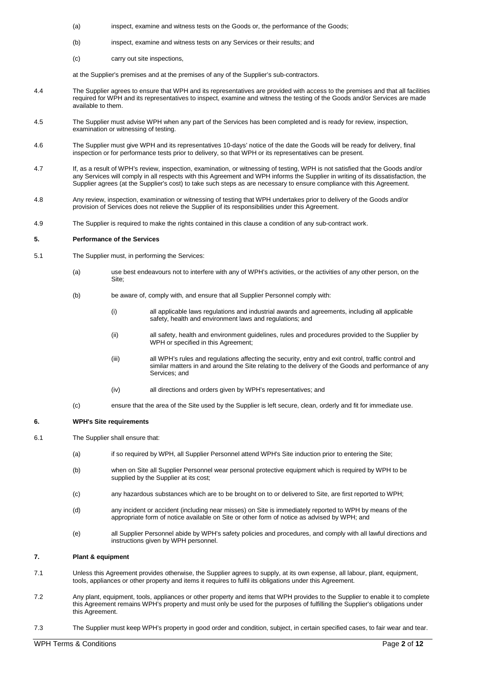- (a) inspect, examine and witness tests on the Goods or, the performance of the Goods;
- (b) inspect, examine and witness tests on any Services or their results; and
- (c) carry out site inspections,

at the Supplier's premises and at the premises of any of the Supplier's sub-contractors.

- 4.4 The Supplier agrees to ensure that WPH and its representatives are provided with access to the premises and that all facilities required for WPH and its representatives to inspect, examine and witness the testing of the Goods and/or Services are made available to them.
- 4.5 The Supplier must advise WPH when any part of the Services has been completed and is ready for review, inspection, examination or witnessing of testing.
- 4.6 The Supplier must give WPH and its representatives 10-days' notice of the date the Goods will be ready for delivery, final inspection or for performance tests prior to delivery, so that WPH or its representatives can be present.
- 4.7 If, as a result of WPH's review, inspection, examination, or witnessing of testing, WPH is not satisfied that the Goods and/or any Services will comply in all respects with this Agreement and WPH informs the Supplier in writing of its dissatisfaction, the Supplier agrees (at the Supplier's cost) to take such steps as are necessary to ensure compliance with this Agreement.
- 4.8 Any review, inspection, examination or witnessing of testing that WPH undertakes prior to delivery of the Goods and/or provision of Services does not relieve the Supplier of its responsibilities under this Agreement.
- 4.9 The Supplier is required to make the rights contained in this clause a condition of any sub-contract work.

### **5. Performance of the Services**

- 5.1 The Supplier must, in performing the Services:
	- (a) use best endeavours not to interfere with any of WPH's activities, or the activities of any other person, on the Site;
	- (b) be aware of, comply with, and ensure that all Supplier Personnel comply with:
		- (i) all applicable laws regulations and industrial awards and agreements, including all applicable safety, health and environment laws and regulations; and
		- (ii) all safety, health and environment guidelines, rules and procedures provided to the Supplier by WPH or specified in this Agreement:
		- (iii) all WPH's rules and regulations affecting the security, entry and exit control, traffic control and similar matters in and around the Site relating to the delivery of the Goods and performance of any Services; and
		- (iv) all directions and orders given by WPH's representatives; and
	- (c) ensure that the area of the Site used by the Supplier is left secure, clean, orderly and fit for immediate use.

## **6. WPH's Site requirements**

- 6.1 The Supplier shall ensure that:
	- (a) if so required by WPH, all Supplier Personnel attend WPH's Site induction prior to entering the Site;
	- (b) when on Site all Supplier Personnel wear personal protective equipment which is required by WPH to be supplied by the Supplier at its cost;
	- (c) any hazardous substances which are to be brought on to or delivered to Site, are first reported to WPH;
	- (d) any incident or accident (including near misses) on Site is immediately reported to WPH by means of the appropriate form of notice available on Site or other form of notice as advised by WPH; and
	- (e) all Supplier Personnel abide by WPH's safety policies and procedures, and comply with all lawful directions and instructions given by WPH personnel.

# **7. Plant & equipment**

- 7.1 Unless this Agreement provides otherwise, the Supplier agrees to supply, at its own expense, all labour, plant, equipment, tools, appliances or other property and items it requires to fulfil its obligations under this Agreement.
- 7.2 Any plant, equipment, tools, appliances or other property and items that WPH provides to the Supplier to enable it to complete this Agreement remains WPH's property and must only be used for the purposes of fulfilling the Supplier's obligations under this Agreement.
- 7.3 The Supplier must keep WPH's property in good order and condition, subject, in certain specified cases, to fair wear and tear.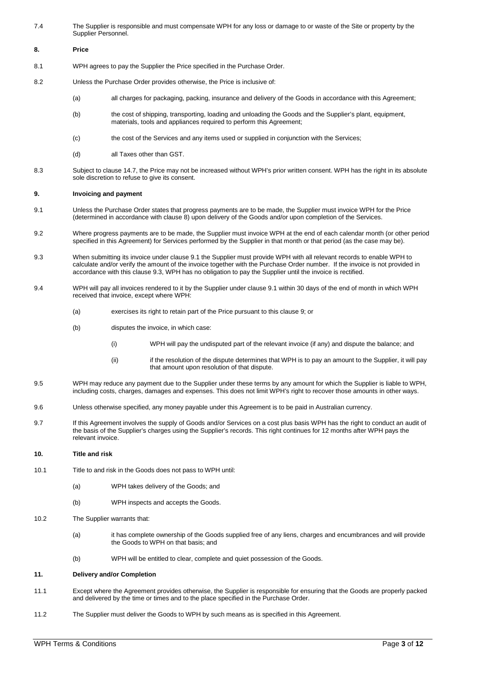7.4 The Supplier is responsible and must compensate WPH for any loss or damage to or waste of the Site or property by the Supplier Personnel.

#### <span id="page-2-0"></span>**8. Price**

- 8.1 WPH agrees to pay the Supplier the Price specified in the Purchase Order.
- 8.2 Unless the Purchase Order provides otherwise, the Price is inclusive of:
	- (a) all charges for packaging, packing, insurance and delivery of the Goods in accordance with this Agreement;
	- (b) the cost of shipping, transporting, loading and unloading the Goods and the Supplier's plant, equipment, materials, tools and appliances required to perform this Agreement;
	- (c) the cost of the Services and any items used or supplied in conjunction with the Services;
	- (d) all Taxes other than GST.
- 8.3 Subject to clause [14.7,](#page-4-0) the Price may not be increased without WPH's prior written consent. WPH has the right in its absolute sole discretion to refuse to give its consent.

## <span id="page-2-3"></span>**9. Invoicing and payment**

- <span id="page-2-1"></span>9.1 Unless the Purchase Order states that progress payments are to be made, the Supplier must invoice WPH for the Price (determined in accordance with claus[e 8\)](#page-2-0) upon delivery of the Goods and/or upon completion of the Services.
- 9.2 Where progress payments are to be made, the Supplier must invoice WPH at the end of each calendar month (or other period specified in this Agreement) for Services performed by the Supplier in that month or that period (as the case may be).
- <span id="page-2-2"></span>9.3 When submitting its invoice under clause [9.1](#page-2-1) the Supplier must provide WPH with all relevant records to enable WPH to calculate and/or verify the amount of the invoice together with the Purchase Order number. If the invoice is not provided in accordance with this clause [9.3,](#page-2-2) WPH has no obligation to pay the Supplier until the invoice is rectified.
- 9.4 WPH will pay all invoices rendered to it by the Supplier under claus[e 9.1](#page-2-1) within 30 days of the end of month in which WPH received that invoice, except where WPH:
	- (a) exercises its right to retain part of the Price pursuant to this clause [9;](#page-2-3) or
	- (b) disputes the invoice, in which case:
		- (i) WPH will pay the undisputed part of the relevant invoice (if any) and dispute the balance; and
		- (ii) if the resolution of the dispute determines that WPH is to pay an amount to the Supplier, it will pay that amount upon resolution of that dispute.
- 9.5 WPH may reduce any payment due to the Supplier under these terms by any amount for which the Supplier is liable to WPH, including costs, charges, damages and expenses. This does not limit WPH's right to recover those amounts in other ways.
- 9.6 Unless otherwise specified, any money payable under this Agreement is to be paid in Australian currency.
- 9.7 If this Agreement involves the supply of Goods and/or Services on a cost plus basis WPH has the right to conduct an audit of the basis of the Supplier's charges using the Supplier's records. This right continues for 12 months after WPH pays the relevant invoice.

## **10. Title and risk**

- 10.1 Title to and risk in the Goods does not pass to WPH until:
	- (a) WPH takes delivery of the Goods; and
	- (b) WPH inspects and accepts the Goods.
- 10.2 The Supplier warrants that:
	- (a) it has complete ownership of the Goods supplied free of any liens, charges and encumbrances and will provide the Goods to WPH on that basis; and
	- (b) WPH will be entitled to clear, complete and quiet possession of the Goods.

## **11. Delivery and/or Completion**

- 11.1 Except where the Agreement provides otherwise, the Supplier is responsible for ensuring that the Goods are properly packed and delivered by the time or times and to the place specified in the Purchase Order.
- 11.2 The Supplier must deliver the Goods to WPH by such means as is specified in this Agreement.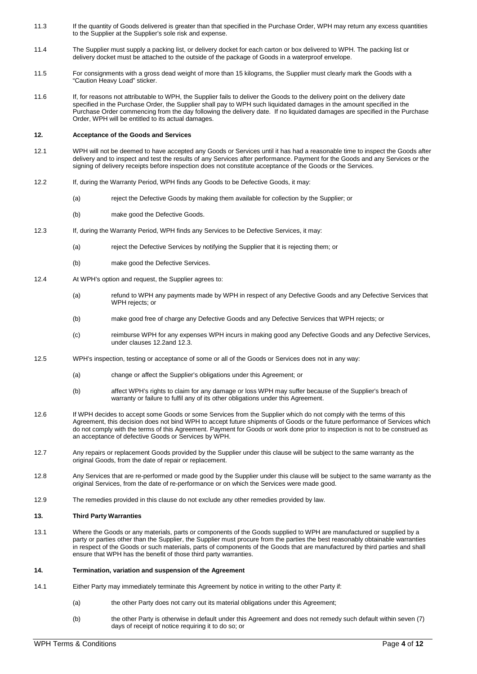- 11.3 If the quantity of Goods delivered is greater than that specified in the Purchase Order, WPH may return any excess quantities to the Supplier at the Supplier's sole risk and expense.
- 11.4 The Supplier must supply a packing list, or delivery docket for each carton or box delivered to WPH. The packing list or delivery docket must be attached to the outside of the package of Goods in a waterproof envelope.
- 11.5 For consignments with a gross dead weight of more than 15 kilograms, the Supplier must clearly mark the Goods with a "Caution Heavy Load" sticker.
- 11.6 If, for reasons not attributable to WPH, the Supplier fails to deliver the Goods to the delivery point on the delivery date specified in the Purchase Order, the Supplier shall pay to WPH such liquidated damages in the amount specified in the Purchase Order commencing from the day following the delivery date. If no liquidated damages are specified in the Purchase Order, WPH will be entitled to its actual damages.

# **12. Acceptance of the Goods and Services**

- 12.1 WPH will not be deemed to have accepted any Goods or Services until it has had a reasonable time to inspect the Goods after delivery and to inspect and test the results of any Services after performance. Payment for the Goods and any Services or the signing of delivery receipts before inspection does not constitute acceptance of the Goods or the Services.
- <span id="page-3-1"></span>12.2 If, during the Warranty Period, WPH finds any Goods to be Defective Goods, it may:
	- (a) reject the Defective Goods by making them available for collection by the Supplier; or
	- (b) make good the Defective Goods.
- <span id="page-3-2"></span>12.3 If, during the Warranty Period, WPH finds any Services to be Defective Services, it may:
	- (a) reject the Defective Services by notifying the Supplier that it is rejecting them; or
	- (b) make good the Defective Services.
- 12.4 At WPH's option and request, the Supplier agrees to:
	- (a) refund to WPH any payments made by WPH in respect of any Defective Goods and any Defective Services that WPH rejects; or
	- (b) make good free of charge any Defective Goods and any Defective Services that WPH rejects; or
	- (c) reimburse WPH for any expenses WPH incurs in making good any Defective Goods and any Defective Services, under clauses [12.2a](#page-3-1)nd [12.3.](#page-3-2)
- 12.5 WPH's inspection, testing or acceptance of some or all of the Goods or Services does not in any way:
	- (a) change or affect the Supplier's obligations under this Agreement; or
	- (b) affect WPH's rights to claim for any damage or loss WPH may suffer because of the Supplier's breach of warranty or failure to fulfil any of its other obligations under this Agreement.
- 12.6 If WPH decides to accept some Goods or some Services from the Supplier which do not comply with the terms of this Agreement, this decision does not bind WPH to accept future shipments of Goods or the future performance of Services which do not comply with the terms of this Agreement. Payment for Goods or work done prior to inspection is not to be construed as an acceptance of defective Goods or Services by WPH.
- 12.7 Any repairs or replacement Goods provided by the Supplier under this clause will be subject to the same warranty as the original Goods, from the date of repair or replacement.
- 12.8 Any Services that are re-performed or made good by the Supplier under this clause will be subject to the same warranty as the original Services, from the date of re-performance or on which the Services were made good.
- 12.9 The remedies provided in this clause do not exclude any other remedies provided by law.

## **13. Third Party Warranties**

13.1 Where the Goods or any materials, parts or components of the Goods supplied to WPH are manufactured or supplied by a party or parties other than the Supplier, the Supplier must procure from the parties the best reasonably obtainable warranties in respect of the Goods or such materials, parts of components of the Goods that are manufactured by third parties and shall ensure that WPH has the benefit of those third party warranties.

#### **14. Termination, variation and suspension of the Agreement**

- <span id="page-3-0"></span>14.1 Either Party may immediately terminate this Agreement by notice in writing to the other Party if:
	- (a) the other Party does not carry out its material obligations under this Agreement;
	- (b) the other Party is otherwise in default under this Agreement and does not remedy such default within seven (7) days of receipt of notice requiring it to do so; or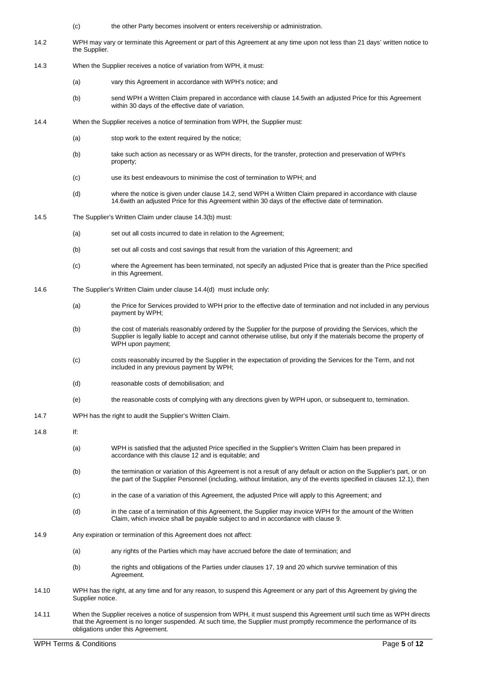- (c) the other Party becomes insolvent or enters receivership or administration.
- <span id="page-4-2"></span>14.2 WPH may vary or terminate this Agreement or part of this Agreement at any time upon not less than 21 days' written notice to the Supplier.
- 14.3 When the Supplier receives a notice of variation from WPH, it must:
	- (a) vary this Agreement in accordance with WPH's notice; and
	- (b) send WPH a Written Claim prepared in accordance with claus[e 14.5w](#page-4-1)ith an adjusted Price for this Agreement within 30 days of the effective date of variation.
- <span id="page-4-4"></span>14.4 When the Supplier receives a notice of termination from WPH, the Supplier must:
	- (a) stop work to the extent required by the notice;
	- (b) take such action as necessary or as WPH directs, for the transfer, protection and preservation of WPH's property;
	- (c) use its best endeavours to minimise the cost of termination to WPH; and
	- (d) where the notice is given under claus[e 14.2,](#page-4-2) send WPH a Written Claim prepared in accordance with clause [14.6w](#page-4-3)ith an adjusted Price for this Agreement within 30 days of the effective date of termination.
- <span id="page-4-5"></span><span id="page-4-1"></span>14.5 The Supplier's Written Claim under claus[e 14.3\(b\)](#page-4-4) must:
	- (a) set out all costs incurred to date in relation to the Agreement;
	- (b) set out all costs and cost savings that result from the variation of this Agreement; and
	- (c) where the Agreement has been terminated, not specify an adjusted Price that is greater than the Price specified in this Agreement.
- <span id="page-4-3"></span>14.6 The Supplier's Written Claim under claus[e 14.4\(d\)](#page-4-5) must include only:
	- (a) the Price for Services provided to WPH prior to the effective date of termination and not included in any pervious payment by WPH;
	- (b) the cost of materials reasonably ordered by the Supplier for the purpose of providing the Services, which the Supplier is legally liable to accept and cannot otherwise utilise, but only if the materials become the property of WPH upon payment;
	- (c) costs reasonably incurred by the Supplier in the expectation of providing the Services for the Term, and not included in any previous payment by WPH;
	- (d) reasonable costs of demobilisation; and
	- (e) the reasonable costs of complying with any directions given by WPH upon, or subsequent to, termination.
- <span id="page-4-0"></span>14.7 WPH has the right to audit the Supplier's Written Claim.
- 14.8 If:
	- (a) WPH is satisfied that the adjusted Price specified in the Supplier's Written Claim has been prepared in accordance with this clause 12 and is equitable; and
	- (b) the termination or variation of this Agreement is not a result of any default or action on the Supplier's part, or on the part of the Supplier Personnel (including, without limitation, any of the events specified in clauses 12.1), then
	- (c) in the case of a variation of this Agreement, the adjusted Price will apply to this Agreement; and
	- (d) in the case of a termination of this Agreement, the Supplier may invoice WPH for the amount of the Written Claim, which invoice shall be payable subject to and in accordance with claus[e 9.](#page-2-3)
- 14.9 Any expiration or termination of this Agreement does not affect:
	- (a) any rights of the Parties which may have accrued before the date of termination; and
	- (b) the rights and obligations of the Parties under clause[s 17,](#page-6-0) [19](#page-6-1) an[d 20](#page-7-0) which survive termination of this Agreement.
- 14.10 WPH has the right, at any time and for any reason, to suspend this Agreement or any part of this Agreement by giving the Supplier notice.
- 14.11 When the Supplier receives a notice of suspension from WPH, it must suspend this Agreement until such time as WPH directs that the Agreement is no longer suspended. At such time, the Supplier must promptly recommence the performance of its obligations under this Agreement.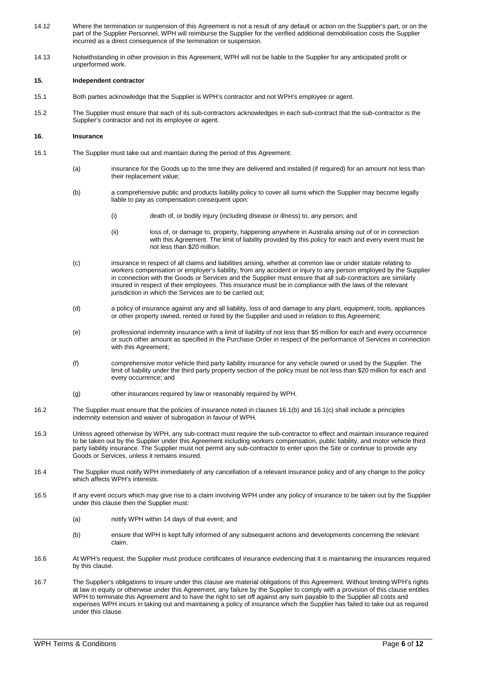- 14.12 Where the termination or suspension of this Agreement is not a result of any default or action on the Supplier's part, or on the part of the Supplier Personnel, WPH will reimburse the Supplier for the verified additional demobilisation costs the Supplier incurred as a direct consequence of the termination or suspension.
- 14.13 Notwithstanding in other provision in this Agreement, WPH will not be liable to the Supplier for any anticipated profit or unperformed work.

## **15. Independent contractor**

- 15.1 Both parties acknowledge that the Supplier is WPH's contractor and not WPH's employee or agent.
- 15.2 The Supplier must ensure that each of its sub-contractors acknowledges in each sub-contract that the sub-contractor is the Supplier's contractor and not its employee or agent.

# **16. Insurance**

- <span id="page-5-1"></span><span id="page-5-0"></span>16.1 The Supplier must take out and maintain during the period of this Agreement:
	- (a) insurance for the Goods up to the time they are delivered and installed (if required) for an amount not less than their replacement value;
	- (b) a comprehensive public and products liability policy to cover all sums which the Supplier may become legally liable to pay as compensation consequent upon:
		- (i) death of, or bodily injury (including disease or illness) to, any person; and
		- (ii) loss of, or damage to, property, happening anywhere in Australia arising out of or in connection with this Agreement. The limit of liability provided by this policy for each and every event must be not less than \$20 million.
	- (c) insurance in respect of all claims and liabilities arising, whether at common law or under statute relating to workers compensation or employer's liability, from any accident or injury to any person employed by the Supplier in connection with the Goods or Services and the Supplier must ensure that all sub-contractors are similarly insured in respect of their employees. This insurance must be in compliance with the laws of the relevant jurisdiction in which the Services are to be carried out;
	- (d) a policy of insurance against any and all liability, loss of and damage to any plant, equipment, tools, appliances or other property owned, rented or hired by the Supplier and used in relation to this Agreement;
	- (e) professional indemnity insurance with a limit of liability of not less than \$5 million for each and every occurrence or such other amount as specified in the Purchase Order in respect of the performance of Services in connection with this Agreement;
	- (f) comprehensive motor vehicle third party liability insurance for any vehicle owned or used by the Supplier. The limit of liability under the third party property section of the policy must be not less than \$20 million for each and every occurrence; and
	- (g) other insurances required by law or reasonably required by WPH.
- 16.2 The Supplier must ensure that the policies of insurance noted in clause[s 16.1\(b\)](#page-5-0) an[d 16.1\(c\)](#page-5-1) shall include a principles indemnity extension and waiver of subrogation in favour of WPH.
- 16.3 Unless agreed otherwise by WPH, any sub-contract must require the sub-contractor to effect and maintain insurance required to be taken out by the Supplier under this Agreement including workers compensation, public liability, and motor vehicle third party liability insurance. The Supplier must not permit any sub-contractor to enter upon the Site or continue to provide any Goods or Services, unless it remains insured.
- 16.4 The Supplier must notify WPH immediately of any cancellation of a relevant insurance policy and of any change to the policy which affects WPH's interests.
- 16.5 If any event occurs which may give rise to a claim involving WPH under any policy of insurance to be taken out by the Supplier under this clause then the Supplier must:
	- (a) notify WPH within 14 days of that event; and
	- (b) ensure that WPH is kept fully informed of any subsequent actions and developments concerning the relevant claim.
- 16.6 At WPH's request, the Supplier must produce certificates of insurance evidencing that it is maintaining the insurances required by this clause.
- 16.7 The Supplier's obligations to insure under this clause are material obligations of this Agreement. Without limiting WPH's rights at law in equity or otherwise under this Agreement, any failure by the Supplier to comply with a provision of this clause entitles WPH to terminate this Agreement and to have the right to set off against any sum payable to the Supplier all costs and expenses WPH incurs in taking out and maintaining a policy of insurance which the Supplier has failed to take out as required under this clause.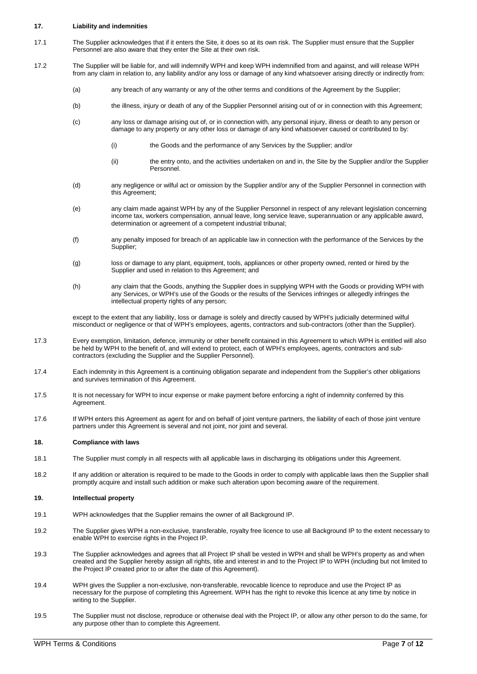## <span id="page-6-0"></span>**17. Liability and indemnities**

- 17.1 The Supplier acknowledges that if it enters the Site, it does so at its own risk. The Supplier must ensure that the Supplier Personnel are also aware that they enter the Site at their own risk.
- 17.2 The Supplier will be liable for, and will indemnify WPH and keep WPH indemnified from and against, and will release WPH from any claim in relation to, any liability and/or any loss or damage of any kind whatsoever arising directly or indirectly from:
	- (a) any breach of any warranty or any of the other terms and conditions of the Agreement by the Supplier;
	- (b) the illness, injury or death of any of the Supplier Personnel arising out of or in connection with this Agreement;
	- (c) any loss or damage arising out of, or in connection with, any personal injury, illness or death to any person or damage to any property or any other loss or damage of any kind whatsoever caused or contributed to by:
		- (i) the Goods and the performance of any Services by the Supplier; and/or
		- (ii) the entry onto, and the activities undertaken on and in, the Site by the Supplier and/or the Supplier Personnel.
	- (d) any negligence or wilful act or omission by the Supplier and/or any of the Supplier Personnel in connection with this Agreement;
	- (e) any claim made against WPH by any of the Supplier Personnel in respect of any relevant legislation concerning income tax, workers compensation, annual leave, long service leave, superannuation or any applicable award, determination or agreement of a competent industrial tribunal;
	- (f) any penalty imposed for breach of an applicable law in connection with the performance of the Services by the Supplier;
	- (g) loss or damage to any plant, equipment, tools, appliances or other property owned, rented or hired by the Supplier and used in relation to this Agreement; and
	- (h) any claim that the Goods, anything the Supplier does in supplying WPH with the Goods or providing WPH with any Services, or WPH's use of the Goods or the results of the Services infringes or allegedly infringes the intellectual property rights of any person;

except to the extent that any liability, loss or damage is solely and directly caused by WPH's judicially determined wilful misconduct or negligence or that of WPH's employees, agents, contractors and sub-contractors (other than the Supplier).

- 17.3 Every exemption, limitation, defence, immunity or other benefit contained in this Agreement to which WPH is entitled will also be held by WPH to the benefit of, and will extend to protect, each of WPH's employees, agents, contractors and subcontractors (excluding the Supplier and the Supplier Personnel).
- 17.4 Each indemnity in this Agreement is a continuing obligation separate and independent from the Supplier's other obligations and survives termination of this Agreement.
- 17.5 It is not necessary for WPH to incur expense or make payment before enforcing a right of indemnity conferred by this Agreement.
- 17.6 If WPH enters this Agreement as agent for and on behalf of joint venture partners, the liability of each of those joint venture partners under this Agreement is several and not joint, nor joint and several.

# **18. Compliance with laws**

- 18.1 The Supplier must comply in all respects with all applicable laws in discharging its obligations under this Agreement.
- 18.2 If any addition or alteration is required to be made to the Goods in order to comply with applicable laws then the Supplier shall promptly acquire and install such addition or make such alteration upon becoming aware of the requirement.

## <span id="page-6-1"></span>**19. Intellectual property**

- 19.1 WPH acknowledges that the Supplier remains the owner of all Background IP.
- 19.2 The Supplier gives WPH a non-exclusive, transferable, royalty free licence to use all Background IP to the extent necessary to enable WPH to exercise rights in the Project IP.
- <span id="page-6-2"></span>19.3 The Supplier acknowledges and agrees that all Project IP shall be vested in WPH and shall be WPH's property as and when created and the Supplier hereby assign all rights, title and interest in and to the Project IP to WPH (including but not limited to the Project IP created prior to or after the date of this Agreement).
- 19.4 WPH gives the Supplier a non-exclusive, non-transferable, revocable licence to reproduce and use the Project IP as necessary for the purpose of completing this Agreement. WPH has the right to revoke this licence at any time by notice in writing to the Supplier.
- 19.5 The Supplier must not disclose, reproduce or otherwise deal with the Project IP, or allow any other person to do the same, for any purpose other than to complete this Agreement.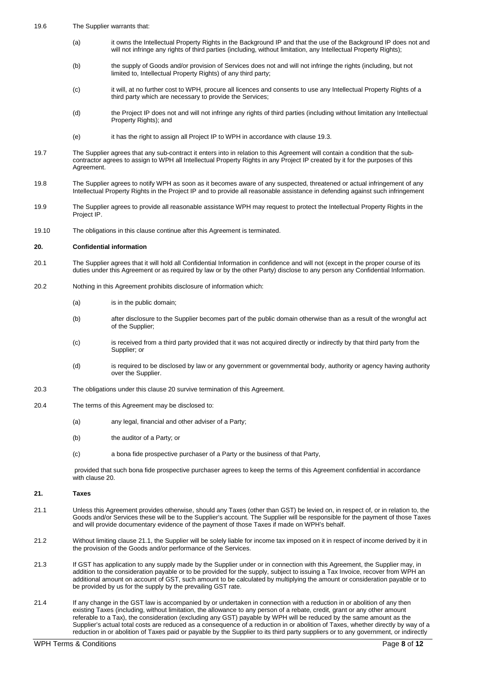- 19.6 The Supplier warrants that:
	- (a) it owns the Intellectual Property Rights in the Background IP and that the use of the Background IP does not and will not infringe any rights of third parties (including, without limitation, any Intellectual Property Rights);
	- (b) the supply of Goods and/or provision of Services does not and will not infringe the rights (including, but not limited to, Intellectual Property Rights) of any third party;
	- (c) it will, at no further cost to WPH, procure all licences and consents to use any Intellectual Property Rights of a third party which are necessary to provide the Services;
	- (d) the Project IP does not and will not infringe any rights of third parties (including without limitation any Intellectual Property Rights); and
	- (e) it has the right to assign all Project IP to WPH in accordance with claus[e 19.3.](#page-6-2)
- 19.7 The Supplier agrees that any sub-contract it enters into in relation to this Agreement will contain a condition that the subcontractor agrees to assign to WPH all Intellectual Property Rights in any Project IP created by it for the purposes of this Agreement.
- 19.8 The Supplier agrees to notify WPH as soon as it becomes aware of any suspected, threatened or actual infringement of any Intellectual Property Rights in the Project IP and to provide all reasonable assistance in defending against such infringement
- 19.9 The Supplier agrees to provide all reasonable assistance WPH may request to protect the Intellectual Property Rights in the Project IP.
- 19.10 The obligations in this clause continue after this Agreement is terminated.

#### <span id="page-7-0"></span>**20. Confidential information**

- 20.1 The Supplier agrees that it will hold all Confidential Information in confidence and will not (except in the proper course of its duties under this Agreement or as required by law or by the other Party) disclose to any person any Confidential Information.
- 20.2 Nothing in this Agreement prohibits disclosure of information which:
	- (a) is in the public domain;
	- (b) after disclosure to the Supplier becomes part of the public domain otherwise than as a result of the wrongful act of the Supplier;
	- (c) is received from a third party provided that it was not acquired directly or indirectly by that third party from the Supplier; or
	- (d) is required to be disclosed by law or any government or governmental body, authority or agency having authority over the Supplier.
- 20.3 The obligations under this clause [20](#page-7-0) survive termination of this Agreement.
- 20.4 The terms of this Agreement may be disclosed to:
	- (a) any legal, financial and other adviser of a Party;
	- (b) the auditor of a Party; or
	- (c) a bona fide prospective purchaser of a Party or the business of that Party,

provided that such bona fide prospective purchaser agrees to keep the terms of this Agreement confidential in accordance with claus[e 20.](#page-7-0) 

#### **21. Taxes**

- <span id="page-7-1"></span>21.1 Unless this Agreement provides otherwise, should any Taxes (other than GST) be levied on, in respect of, or in relation to, the Goods and/or Services these will be to the Supplier's account. The Supplier will be responsible for the payment of those Taxes and will provide documentary evidence of the payment of those Taxes if made on WPH's behalf.
- 21.2 Without limiting claus[e 21.1,](#page-7-1) the Supplier will be solely liable for income tax imposed on it in respect of income derived by it in the provision of the Goods and/or performance of the Services.
- 21.3 If GST has application to any supply made by the Supplier under or in connection with this Agreement, the Supplier may, in addition to the consideration payable or to be provided for the supply, subject to issuing a Tax Invoice, recover from WPH an additional amount on account of GST, such amount to be calculated by multiplying the amount or consideration payable or to be provided by us for the supply by the prevailing GST rate.
- 21.4 If any change in the GST law is accompanied by or undertaken in connection with a reduction in or abolition of any then existing Taxes (including, without limitation, the allowance to any person of a rebate, credit, grant or any other amount referable to a Tax), the consideration (excluding any GST) payable by WPH will be reduced by the same amount as the Supplier's actual total costs are reduced as a consequence of a reduction in or abolition of Taxes, whether directly by way of a reduction in or abolition of Taxes paid or payable by the Supplier to its third party suppliers or to any government, or indirectly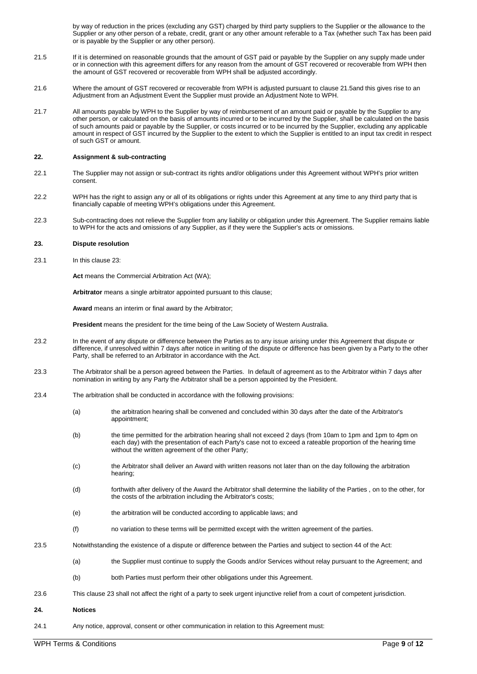by way of reduction in the prices (excluding any GST) charged by third party suppliers to the Supplier or the allowance to the Supplier or any other person of a rebate, credit, grant or any other amount referable to a Tax (whether such Tax has been paid or is payable by the Supplier or any other person).

- <span id="page-8-0"></span>21.5 If it is determined on reasonable grounds that the amount of GST paid or payable by the Supplier on any supply made under or in connection with this agreement differs for any reason from the amount of GST recovered or recoverable from WPH then the amount of GST recovered or recoverable from WPH shall be adjusted accordingly.
- 21.6 Where the amount of GST recovered or recoverable from WPH is adjusted pursuant to claus[e 21.5a](#page-8-0)nd this gives rise to an Adjustment from an Adjustment Event the Supplier must provide an Adjustment Note to WPH.
- 21.7 All amounts payable by WPH to the Supplier by way of reimbursement of an amount paid or payable by the Supplier to any other person, or calculated on the basis of amounts incurred or to be incurred by the Supplier, shall be calculated on the basis of such amounts paid or payable by the Supplier, or costs incurred or to be incurred by the Supplier, excluding any applicable amount in respect of GST incurred by the Supplier to the extent to which the Supplier is entitled to an input tax credit in respect of such GST or amount.

#### **22. Assignment & sub-contracting**

- 22.1 The Supplier may not assign or sub-contract its rights and/or obligations under this Agreement without WPH's prior written consent.
- 22.2 WPH has the right to assign any or all of its obligations or rights under this Agreement at any time to any third party that is financially capable of meeting WPH's obligations under this Agreement.
- 22.3 Sub-contracting does not relieve the Supplier from any liability or obligation under this Agreement. The Supplier remains liable to WPH for the acts and omissions of any Supplier, as if they were the Supplier's acts or omissions.

## <span id="page-8-1"></span>**23. Dispute resolution**

23.1 In this claus[e 23:](#page-8-1)

**Act** means the Commercial Arbitration Act (WA);

**Arbitrator** means a single arbitrator appointed pursuant to this clause;

**Award** means an interim or final award by the Arbitrator;

**President** means the president for the time being of the Law Society of Western Australia.

- 23.2 In the event of any dispute or difference between the Parties as to any issue arising under this Agreement that dispute or difference, if unresolved within 7 days after notice in writing of the dispute or difference has been given by a Party to the other Party, shall be referred to an Arbitrator in accordance with the Act.
- 23.3 The Arbitrator shall be a person agreed between the Parties. In default of agreement as to the Arbitrator within 7 days after nomination in writing by any Party the Arbitrator shall be a person appointed by the President.
- 23.4 The arbitration shall be conducted in accordance with the following provisions:
	- (a) the arbitration hearing shall be convened and concluded within 30 days after the date of the Arbitrator's appointment;
	- (b) the time permitted for the arbitration hearing shall not exceed 2 days (from 10am to 1pm and 1pm to 4pm on each day) with the presentation of each Party's case not to exceed a rateable proportion of the hearing time without the written agreement of the other Party:
	- (c) the Arbitrator shall deliver an Award with written reasons not later than on the day following the arbitration hearing;
	- (d) forthwith after delivery of the Award the Arbitrator shall determine the liability of the Parties , on to the other, for the costs of the arbitration including the Arbitrator's costs;
	- (e) the arbitration will be conducted according to applicable laws; and
	- (f) no variation to these terms will be permitted except with the written agreement of the parties.
- 23.5 Notwithstanding the existence of a dispute or difference between the Parties and subject to section 44 of the Act:
	- (a) the Supplier must continue to supply the Goods and/or Services without relay pursuant to the Agreement; and
	- (b) both Parties must perform their other obligations under this Agreement.
- 23.6 This claus[e 23](#page-8-1) shall not affect the right of a party to seek urgent injunctive relief from a court of competent jurisdiction.
- **24. Notices**
- 24.1 Any notice, approval, consent or other communication in relation to this Agreement must: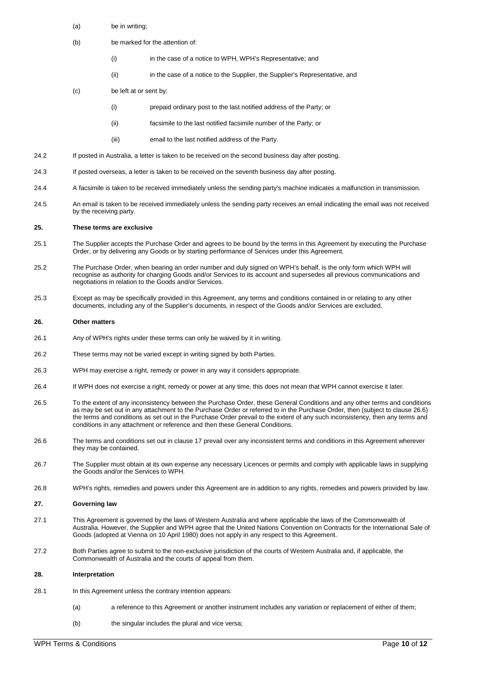- (a) be in writing;
- (b) be marked for the attention of:
	- (i) in the case of a notice to WPH, WPH's Representative; and
	- (ii) in the case of a notice to the Supplier, the Supplier's Representative, and
- (c) be left at or sent by:
	- (i) prepaid ordinary post to the last notified address of the Party; or
	- (ii) facsimile to the last notified facsimile number of the Party; or
	- (iii) email to the last notified address of the Party.
- 24.2 If posted in Australia, a letter is taken to be received on the second business day after posting.
- 24.3 If posted overseas, a letter is taken to be received on the seventh business day after posting.
- 24.4 A facsimile is taken to be received immediately unless the sending party's machine indicates a malfunction in transmission.
- 24.5 An email is taken to be received immediately unless the sending party receives an email indicating the email was not received by the receiving party.

# **25. These terms are exclusive**

- 25.1 The Supplier accepts the Purchase Order and agrees to be bound by the terms in this Agreement by executing the Purchase Order, or by delivering any Goods or by starting performance of Services under this Agreement.
- 25.2 The Purchase Order, when bearing an order number and duly signed on WPH's behalf, is the only form which WPH will recognise as authority for charging Goods and/or Services to its account and supersedes all previous communications and negotiations in relation to the Goods and/or Services.
- 25.3 Except as may be specifically provided in this Agreement, any terms and conditions contained in or relating to any other documents, including any of the Supplier's documents, in respect of the Goods and/or Services are excluded.

#### **26. Other matters**

- 26.1 Any of WPH's rights under these terms can only be waived by it in writing.
- 26.2 These terms may not be varied except in writing signed by both Parties.
- 26.3 WPH may exercise a right, remedy or power in any way it considers appropriate.
- 26.4 If WPH does not exercise a right, remedy or power at any time, this does not mean that WPH cannot exercise it later.
- 26.5 To the extent of any inconsistency between the Purchase Order, these General Conditions and any other terms and conditions as may be set out in any attachment to the Purchase Order or referred to in the Purchase Order, then (subject to clause [26.6\)](#page-9-0) the terms and conditions as set out in the Purchase Order prevail to the extent of any such inconsistency, then any terms and conditions in any attachment or reference and then these General Conditions.
- <span id="page-9-0"></span>26.6 The terms and conditions set out in clause [17](#page-6-0) prevail over any inconsistent terms and conditions in this Agreement wherever they may be contained.
- 26.7 The Supplier must obtain at its own expense any necessary Licences or permits and comply with applicable laws in supplying the Goods and/or the Services to WPH.
- 26.8 WPH's rights, remedies and powers under this Agreement are in addition to any rights, remedies and powers provided by law.

#### **27. Governing law**

- 27.1 This Agreement is governed by the laws of Western Australia and where applicable the laws of the Commonwealth of Australia. However, the Supplier and WPH agree that the United Nations Convention on Contracts for the International Sale of Goods (adopted at Vienna on 10 April 1980) does not apply in any respect to this Agreement.
- 27.2 Both Parties agree to submit to the non-exclusive jurisdiction of the courts of Western Australia and, if applicable, the Commonwealth of Australia and the courts of appeal from them.

## **28. Interpretation**

- 28.1 In this Agreement unless the contrary intention appears:
	- (a) a reference to this Agreement or another instrument includes any variation or replacement of either of them;
		- (b) the singular includes the plural and vice versa;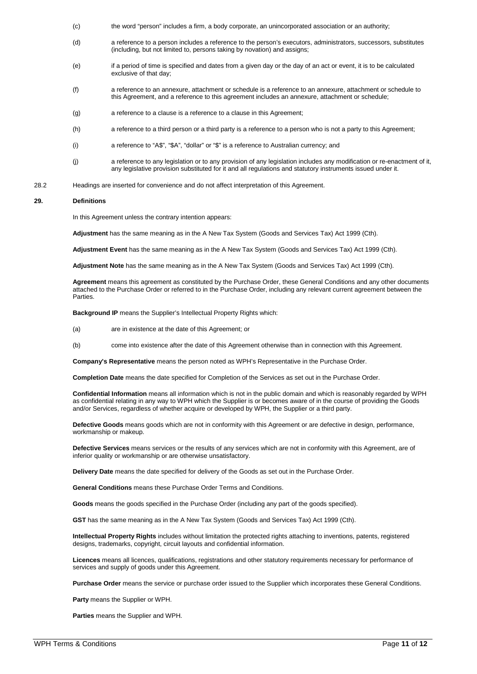- (c) the word "person" includes a firm, a body corporate, an unincorporated association or an authority;
- (d) a reference to a person includes a reference to the person's executors, administrators, successors, substitutes (including, but not limited to, persons taking by novation) and assigns;
- (e) if a period of time is specified and dates from a given day or the day of an act or event, it is to be calculated exclusive of that day;
- (f) a reference to an annexure, attachment or schedule is a reference to an annexure, attachment or schedule to this Agreement, and a reference to this agreement includes an annexure, attachment or schedule;
- (g) a reference to a clause is a reference to a clause in this Agreement;
- (h) a reference to a third person or a third party is a reference to a person who is not a party to this Agreement;
- (i) a reference to "A\$", "\$A", "dollar" or "\$" is a reference to Australian currency; and
- (j) a reference to any legislation or to any provision of any legislation includes any modification or re-enactment of it, any legislative provision substituted for it and all regulations and statutory instruments issued under it.
- 28.2 Headings are inserted for convenience and do not affect interpretation of this Agreement.

## **29. Definitions**

In this Agreement unless the contrary intention appears:

**Adjustment** has the same meaning as in the A New Tax System (Goods and Services Tax) Act 1999 (Cth).

**Adjustment Event** has the same meaning as in the A New Tax System (Goods and Services Tax) Act 1999 (Cth).

**Adjustment Note** has the same meaning as in the A New Tax System (Goods and Services Tax) Act 1999 (Cth).

**Agreement** means this agreement as constituted by the Purchase Order, these General Conditions and any other documents attached to the Purchase Order or referred to in the Purchase Order, including any relevant current agreement between the **Parties** 

**Background IP** means the Supplier's Intellectual Property Rights which:

- (a) are in existence at the date of this Agreement; or
- (b) come into existence after the date of this Agreement otherwise than in connection with this Agreement.

**Company's Representative** means the person noted as WPH's Representative in the Purchase Order.

**Completion Date** means the date specified for Completion of the Services as set out in the Purchase Order.

**Confidential Information** means all information which is not in the public domain and which is reasonably regarded by WPH as confidential relating in any way to WPH which the Supplier is or becomes aware of in the course of providing the Goods and/or Services, regardless of whether acquire or developed by WPH, the Supplier or a third party.

**Defective Goods** means goods which are not in conformity with this Agreement or are defective in design, performance, workmanship or makeup.

**Defective Services** means services or the results of any services which are not in conformity with this Agreement, are of inferior quality or workmanship or are otherwise unsatisfactory.

**Delivery Date** means the date specified for delivery of the Goods as set out in the Purchase Order.

**General Conditions** means these Purchase Order Terms and Conditions.

**Goods** means the goods specified in the Purchase Order (including any part of the goods specified).

**GST** has the same meaning as in the A New Tax System (Goods and Services Tax) Act 1999 (Cth).

**Intellectual Property Rights** includes without limitation the protected rights attaching to inventions, patents, registered designs, trademarks, copyright, circuit layouts and confidential information.

**Licences** means all licences, qualifications, registrations and other statutory requirements necessary for performance of services and supply of goods under this Agreement.

**Purchase Order** means the service or purchase order issued to the Supplier which incorporates these General Conditions.

**Party** means the Supplier or WPH.

**Parties** means the Supplier and WPH.